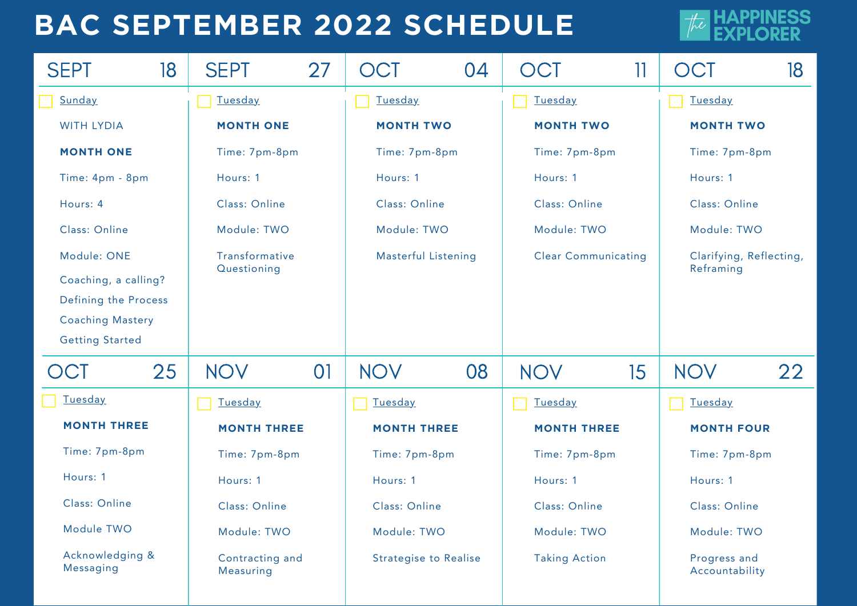#### **BAC SEPTEMBER 2022 SCHEDULE**

**FSS** 

| <b>SEPT</b>                  | 18                   | <b>SEPT</b>                  | 27                            | OCT                          | 04                         | OCT                  | 11                         |                                      | 18            |  |
|------------------------------|----------------------|------------------------------|-------------------------------|------------------------------|----------------------------|----------------------|----------------------------|--------------------------------------|---------------|--|
| Sunday                       |                      | Tuesday                      |                               | Tuesday                      |                            | Tuesday              |                            | Tuesday                              |               |  |
| <b>WITH LYDIA</b>            |                      | <b>MONTH ONE</b>             |                               | <b>MONTH TWO</b>             |                            | <b>MONTH TWO</b>     |                            | <b>MONTH TWO</b>                     |               |  |
| <b>MONTH ONE</b>             |                      | Time: 7pm-8pm                |                               |                              | Time: 7pm-8pm              |                      | Time: 7pm-8pm              |                                      | Time: 7pm-8pm |  |
| Time: 4pm - 8pm              |                      | Hours: 1                     |                               | Hours: 1                     |                            | Hours: 1             |                            | Hours: 1                             |               |  |
| Hours: 4                     |                      | Class: Online                |                               | Class: Online                |                            | Class: Online        |                            | Class: Online                        |               |  |
| Class: Online                |                      | Module: TWO                  |                               | Module: TWO                  |                            |                      | Module: TWO                |                                      | Module: TWO   |  |
| Module: ONE                  |                      |                              | Transformative<br>Questioning |                              | <b>Masterful Listening</b> |                      | <b>Clear Communicating</b> | Clarifying, Reflecting,<br>Reframing |               |  |
|                              | Coaching, a calling? |                              |                               |                              |                            |                      |                            |                                      |               |  |
| Defining the Process         |                      |                              |                               |                              |                            |                      |                            |                                      |               |  |
| <b>Coaching Mastery</b>      |                      |                              |                               |                              |                            |                      |                            |                                      |               |  |
| <b>Getting Started</b>       |                      |                              |                               |                              |                            |                      |                            |                                      |               |  |
| OCT                          | 25                   | <b>NOV</b>                   | O <sub>1</sub>                | <b>NOV</b>                   | 08                         | <b>NOV</b>           | 15                         | <b>NOV</b>                           | 22            |  |
| Tuesday                      |                      | Tuesday                      |                               | <b>Tuesday</b>               |                            | Tuesday              |                            | Tuesday                              |               |  |
| <b>MONTH THREE</b>           |                      | <b>MONTH THREE</b>           |                               | <b>MONTH THREE</b>           |                            | <b>MONTH THREE</b>   |                            | <b>MONTH FOUR</b>                    |               |  |
| Time: 7pm-8pm                |                      | Time: 7pm-8pm                |                               | Time: 7pm-8pm                |                            | Time: 7pm-8pm        |                            | Time: 7pm-8pm                        |               |  |
| Hours: 1                     |                      | Hours: 1                     |                               | Hours: 1                     |                            | Hours: 1             |                            | Hours: 1                             |               |  |
| Class: Online                |                      | Class: Online                |                               | Class: Online                |                            | Class: Online        |                            | Class: Online                        |               |  |
| Module TWO                   |                      | Module: TWO                  |                               | Module: TWO                  |                            | Module: TWO          |                            | Module: TWO                          |               |  |
| Acknowledging &<br>Messaging |                      | Contracting and<br>Measuring |                               | <b>Strategise to Realise</b> |                            | <b>Taking Action</b> |                            | Progress and<br>Accountability       |               |  |
|                              |                      |                              |                               |                              |                            |                      |                            |                                      |               |  |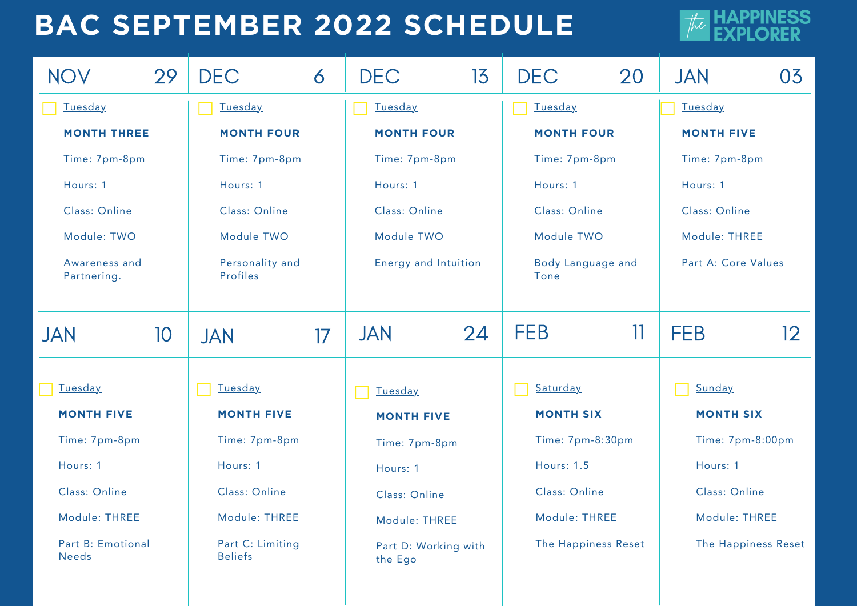#### **BAC SEPTEMBER 2022 SCHEDULE**



| <b>NOV</b>                        | 29              | <b>DEC</b>                         | 6        | <b>DEC</b>                      | 13 | <b>DEC</b>                | 20                             | <b>JAN</b>          | 03                  |
|-----------------------------------|-----------------|------------------------------------|----------|---------------------------------|----|---------------------------|--------------------------------|---------------------|---------------------|
| Tuesday                           |                 | Tuesday                            |          | Tuesday                         |    | Tuesday                   |                                | Tuesday             |                     |
| <b>MONTH THREE</b>                |                 | <b>MONTH FOUR</b>                  |          | <b>MONTH FOUR</b>               |    | <b>MONTH FOUR</b>         |                                | <b>MONTH FIVE</b>   |                     |
| Time: 7pm-8pm                     |                 | Time: 7pm-8pm                      |          | Time: 7pm-8pm                   |    | Time: 7pm-8pm             |                                | Time: 7pm-8pm       |                     |
| Hours: 1                          |                 | Hours: 1                           |          | Hours: 1                        |    | Hours: 1                  |                                | Hours: 1            |                     |
| Class: Online                     |                 | Class: Online                      |          | Class: Online                   |    | Class: Online             |                                | Class: Online       |                     |
| Module: TWO                       |                 | Module TWO                         |          | Module TWO                      |    | Module TWO                |                                | Module: THREE       |                     |
| Awareness and<br>Partnering.      |                 | Personality and<br>Profiles        |          | <b>Energy and Intuition</b>     |    | Body Language and<br>Tone |                                | Part A: Core Values |                     |
| <b>JAN</b>                        | 10 <sup>°</sup> | <b>JAN</b>                         | 17       | <b>JAN</b>                      | 24 | <b>FEB</b>                | 11                             | <b>FEB</b>          | 12                  |
| Tuesday                           |                 | Tuesday                            |          | Tuesday                         |    | Saturday                  |                                | Sunday              |                     |
| <b>MONTH FIVE</b>                 |                 | <b>MONTH FIVE</b>                  |          | <b>MONTH FIVE</b>               |    | <b>MONTH SIX</b>          |                                | <b>MONTH SIX</b>    |                     |
| Time: 7pm-8pm                     |                 | Time: 7pm-8pm                      |          | Time: 7pm-8pm                   |    | Time: 7pm-8:30pm          |                                | Time: 7pm-8:00pm    |                     |
| Hours: 1                          | Hours: 1        |                                    | Hours: 1 |                                 |    | <b>Hours: 1.5</b>         |                                | Hours: 1            |                     |
| Class: Online                     |                 | Class: Online                      |          | Class: Online                   |    | Class: Online             |                                | Class: Online       |                     |
| Module: THREE                     |                 | Module: THREE                      |          | Module: THREE                   |    |                           | Module: THREE<br>Module: THREE |                     |                     |
| Part B: Emotional<br><b>Needs</b> |                 | Part C: Limiting<br><b>Beliefs</b> |          | Part D: Working with<br>the Ego |    |                           | The Happiness Reset            |                     | The Happiness Reset |
|                                   |                 |                                    |          |                                 |    |                           |                                |                     |                     |